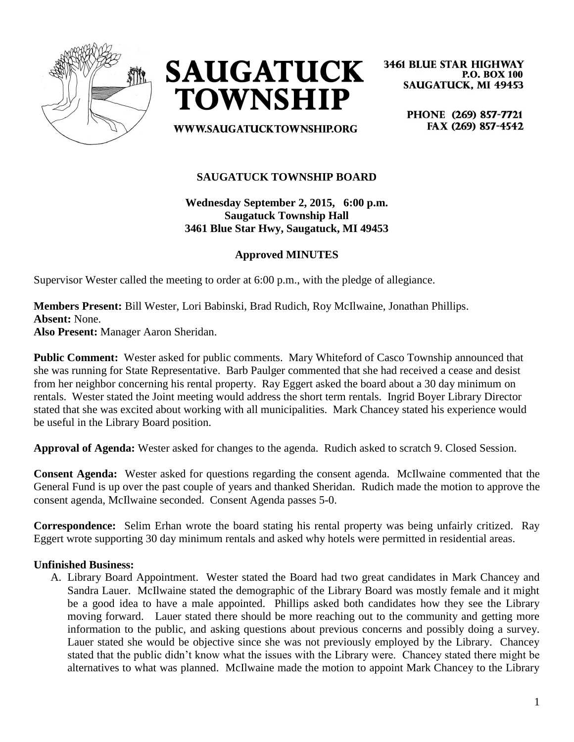



**3461 BLUE STAR HIGHWAY P.O. BOX 100 SAUGATUCK, MI 49453** 

**WWW.SAUGATUCKTOWNSHIP.ORG** 

PHONE (269) 857-7721 FAX (269) 857-4542

# **SAUGATUCK TOWNSHIP BOARD**

**Wednesday September 2, 2015, 6:00 p.m. Saugatuck Township Hall 3461 Blue Star Hwy, Saugatuck, MI 49453**

## **Approved MINUTES**

Supervisor Wester called the meeting to order at 6:00 p.m., with the pledge of allegiance.

**Members Present:** Bill Wester, Lori Babinski, Brad Rudich, Roy McIlwaine, Jonathan Phillips. **Absent:** None.

**Also Present:** Manager Aaron Sheridan.

**Public Comment:** Wester asked for public comments. Mary Whiteford of Casco Township announced that she was running for State Representative. Barb Paulger commented that she had received a cease and desist from her neighbor concerning his rental property. Ray Eggert asked the board about a 30 day minimum on rentals. Wester stated the Joint meeting would address the short term rentals. Ingrid Boyer Library Director stated that she was excited about working with all municipalities. Mark Chancey stated his experience would be useful in the Library Board position.

**Approval of Agenda:** Wester asked for changes to the agenda. Rudich asked to scratch 9. Closed Session.

**Consent Agenda:** Wester asked for questions regarding the consent agenda. McIlwaine commented that the General Fund is up over the past couple of years and thanked Sheridan. Rudich made the motion to approve the consent agenda, McIlwaine seconded. Consent Agenda passes 5-0.

**Correspondence:** Selim Erhan wrote the board stating his rental property was being unfairly critized. Ray Eggert wrote supporting 30 day minimum rentals and asked why hotels were permitted in residential areas.

#### **Unfinished Business:**

A. Library Board Appointment. Wester stated the Board had two great candidates in Mark Chancey and Sandra Lauer. McIlwaine stated the demographic of the Library Board was mostly female and it might be a good idea to have a male appointed. Phillips asked both candidates how they see the Library moving forward. Lauer stated there should be more reaching out to the community and getting more information to the public, and asking questions about previous concerns and possibly doing a survey. Lauer stated she would be objective since she was not previously employed by the Library. Chancey stated that the public didn't know what the issues with the Library were. Chancey stated there might be alternatives to what was planned. McIlwaine made the motion to appoint Mark Chancey to the Library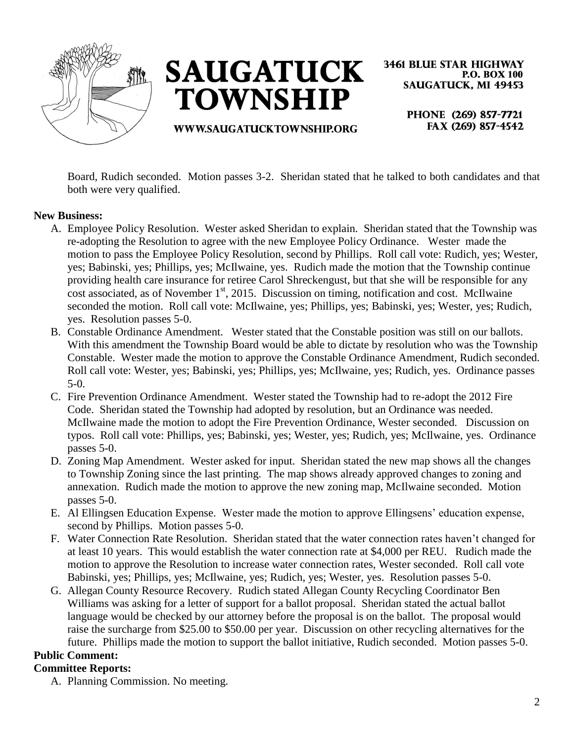



**3461 BLUE STAR HIGHWAY P.O. BOX 100 SAUGATUCK, MI 49453** 

**WWW.SAUGATUCKTOWNSHIP.ORG** 

PHONE (269) 857-7721 FAX (269) 857-4542

Board, Rudich seconded. Motion passes 3-2. Sheridan stated that he talked to both candidates and that both were very qualified.

#### **New Business:**

- A. Employee Policy Resolution. Wester asked Sheridan to explain. Sheridan stated that the Township was re-adopting the Resolution to agree with the new Employee Policy Ordinance. Wester made the motion to pass the Employee Policy Resolution, second by Phillips. Roll call vote: Rudich, yes; Wester, yes; Babinski, yes; Phillips, yes; McIlwaine, yes. Rudich made the motion that the Township continue providing health care insurance for retiree Carol Shreckengust, but that she will be responsible for any  $\frac{1}{\sqrt{2}}$  cost associated, as of November 1<sup>st</sup>, 2015. Discussion on timing, notification and cost. McIlwaine seconded the motion. Roll call vote: McIlwaine, yes; Phillips, yes; Babinski, yes; Wester, yes; Rudich, yes. Resolution passes 5-0.
- B. Constable Ordinance Amendment. Wester stated that the Constable position was still on our ballots. With this amendment the Township Board would be able to dictate by resolution who was the Township Constable. Wester made the motion to approve the Constable Ordinance Amendment, Rudich seconded. Roll call vote: Wester, yes; Babinski, yes; Phillips, yes; McIlwaine, yes; Rudich, yes. Ordinance passes 5-0.
- C. Fire Prevention Ordinance Amendment. Wester stated the Township had to re-adopt the 2012 Fire Code. Sheridan stated the Township had adopted by resolution, but an Ordinance was needed. McIlwaine made the motion to adopt the Fire Prevention Ordinance, Wester seconded. Discussion on typos. Roll call vote: Phillips, yes; Babinski, yes; Wester, yes; Rudich, yes; McIlwaine, yes. Ordinance passes 5-0.
- D. Zoning Map Amendment. Wester asked for input. Sheridan stated the new map shows all the changes to Township Zoning since the last printing. The map shows already approved changes to zoning and annexation. Rudich made the motion to approve the new zoning map, McIlwaine seconded. Motion passes 5-0.
- E. Al Ellingsen Education Expense. Wester made the motion to approve Ellingsens' education expense, second by Phillips. Motion passes 5-0.
- F. Water Connection Rate Resolution. Sheridan stated that the water connection rates haven't changed for at least 10 years. This would establish the water connection rate at \$4,000 per REU. Rudich made the motion to approve the Resolution to increase water connection rates, Wester seconded. Roll call vote Babinski, yes; Phillips, yes; McIlwaine, yes; Rudich, yes; Wester, yes. Resolution passes 5-0.
- G. Allegan County Resource Recovery. Rudich stated Allegan County Recycling Coordinator Ben Williams was asking for a letter of support for a ballot proposal. Sheridan stated the actual ballot language would be checked by our attorney before the proposal is on the ballot. The proposal would raise the surcharge from \$25.00 to \$50.00 per year. Discussion on other recycling alternatives for the future. Phillips made the motion to support the ballot initiative, Rudich seconded. Motion passes 5-0.

## **Public Comment:**

#### **Committee Reports:**

A. Planning Commission. No meeting.